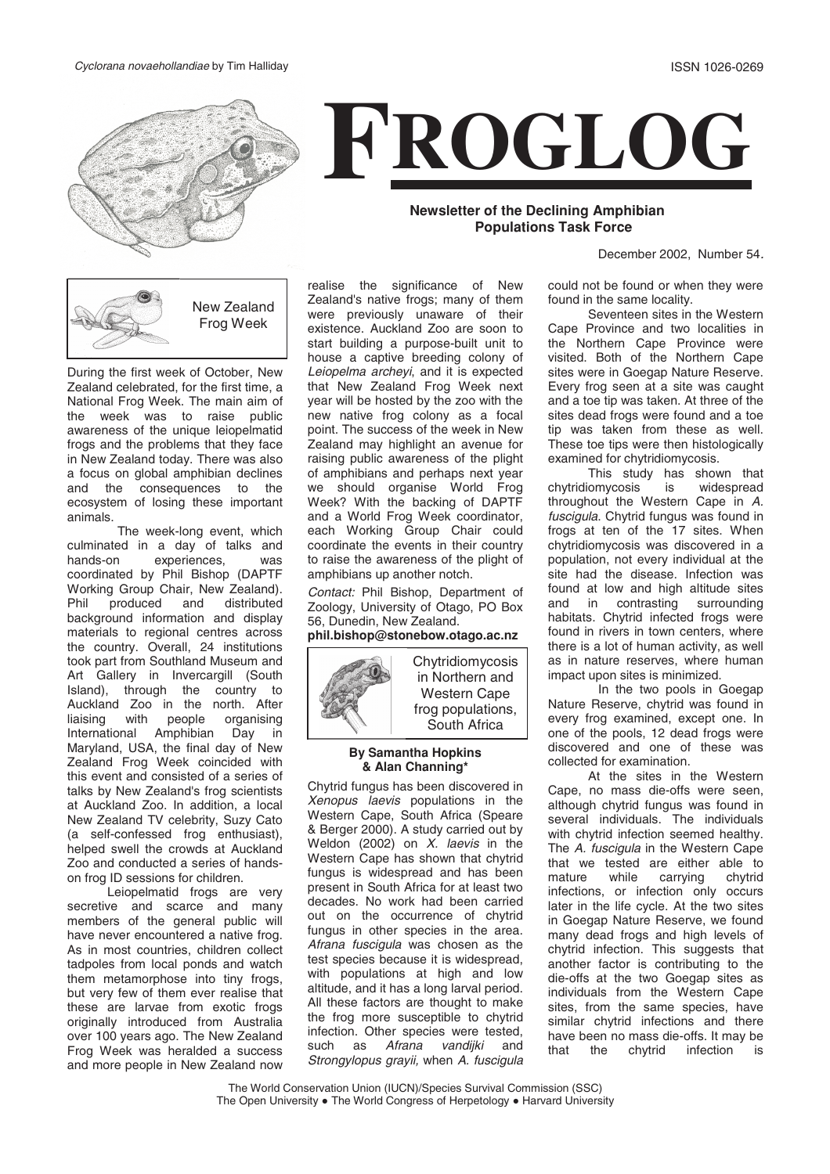



## **Newsletter of the Declining Amphibian Populations Task Force**

December 2002, Number 54.

New Zealand Frog Week

During the first week of October, New Zealand celebrated, for the first time, a National Frog Week. The main aim of the week was to raise public awareness of the unique leiopelmatid frogs and the problems that they face in New Zealand today. There was also a focus on global amphibian declines and the consequences to the ecosystem of losing these important animals.

The week-long event, which culminated in a day of talks and<br>hands-on experiences. was experiences, was coordinated by Phil Bishop (DAPTF Working Group Chair, New Zealand).<br>Phil produced and distributed distributed background information and display materials to regional centres across the country. Overall, 24 institutions took part from Southland Museum and Art Gallery in Invercargill (South Island), through the country to Auckland Zoo in the north. After liaising with people organising International Amphibian Day in Maryland, USA, the final day of New Zealand Frog Week coincided with this event and consisted of a series of talks by New Zealand's frog scientists at Auckland Zoo. In addition, a local New Zealand TV celebrity, Suzy Cato (a self-confessed frog enthusiast), helped swell the crowds at Auckland Zoo and conducted a series of handson frog ID sessions for children.

Leiopelmatid frogs are very secretive and scarce and many members of the general public will have never encountered a native frog. As in most countries, children collect tadpoles from local ponds and watch them metamorphose into tiny frogs, but very few of them ever realise that these are larvae from exotic frogs originally introduced from Australia over 100 years ago. The New Zealand Frog Week was heralded a success and more people in New Zealand now

realise the significance of New Zealand's native frogs; many of them were previously unaware of their existence. Auckland Zoo are soon to start building a purpose-built unit to house a captive breeding colony of Leiopelma archeyi, and it is expected that New Zealand Frog Week next year will be hosted by the zoo with the new native frog colony as a focal point. The success of the week in New Zealand may highlight an avenue for raising public awareness of the plight of amphibians and perhaps next year we should organise World Frog Week? With the backing of DAPTF and a World Frog Week coordinator, each Working Group Chair could coordinate the events in their country to raise the awareness of the plight of amphibians up another notch.

Contact: Phil Bishop, Department of Zoology, University of Otago, PO Box 56, Dunedin, New Zealand. **phil.bishop@stonebow.otago.ac.nz**



Chytridiomycosis in Northern and Western Cape frog populations, South Africa

# **By Samantha Hopkin<sup>s</sup>**

**Chytrid fungus has been discovered in**<br> *Xenepus Jaquis*, populations in the Xenopus laevis populations in the Western Cape, South Africa (Speare & Berger 2000). A study carried out by Weldon (2002) on  $X$ . laevis in the Western Cape has shown that chytrid fungus is widespread and has been present in South Africa for at least two decades. No work had been carried out on the occurrence of chytrid fungus in other species in the area. Afrana fuscigula was chosen as the test species because it is widespread, with populations at high and low altitude, and it has a long larval period. All these factors are thought to make the frog more susceptible to chytrid infection. Other species were tested, such as Afrana vandijki and Strongylopus grayii, when A. fuscigula could not be found or when they were found in the same locality.

Seventeen sites in the Western Cape Province and two localities in the Northern Cape Province were visited. Both of the Northern Cape sites were in Goegap Nature Reserve. Every frog seen at a site was caught and a toe tip was taken. At three of the sites dead frogs were found and a toe tip was taken from these as well. These toe tips were then histologically examined for chytridiomycosis.

This study has shown that chytridiomycosis is widespread throughout the Western Cape in A. fuscigula. Chytrid fungus was found in frogs at ten of the 17 sites. When chytridiomycosis was discovered in a population, not every individual at the site had the disease. Infection was found at low and high altitude sites<br>and in contrasting surrounding surrounding habitats. Chytrid infected frogs were found in rivers in town centers, where there is a lot of human activity, as well as in nature reserves, where human impact upon sites is minimized.

In the two pools in Goegap Nature Reserve, chytrid was found in every frog examined, except one. In one of the pools, 12 dead frogs were discovered and one of these was collected for examination.

At the sites in the Western Cape, no mass die-offs were seen, although chytrid fungus was found in several individuals. The individuals with chytrid infection seemed healthy. The A. fuscigula in the Western Cape that we tested are either able to<br>mature while carrving chytrid carrying infections, or infection only occurs later in the life cycle. At the two sites in Goegap Nature Reserve, we found many dead frogs and high levels of chytrid infection. This suggests that another factor is contributing to the die-offs at the two Goegap sites as individuals from the Western Cape sites, from the same species, have similar chytrid infections and there have been no mass die-offs. It may be that the chytrid infection is

The World Conservation Union (IUCN)/Species Survival Commission (SSC) The Open University . The World Congress of Herpetology . Harvard University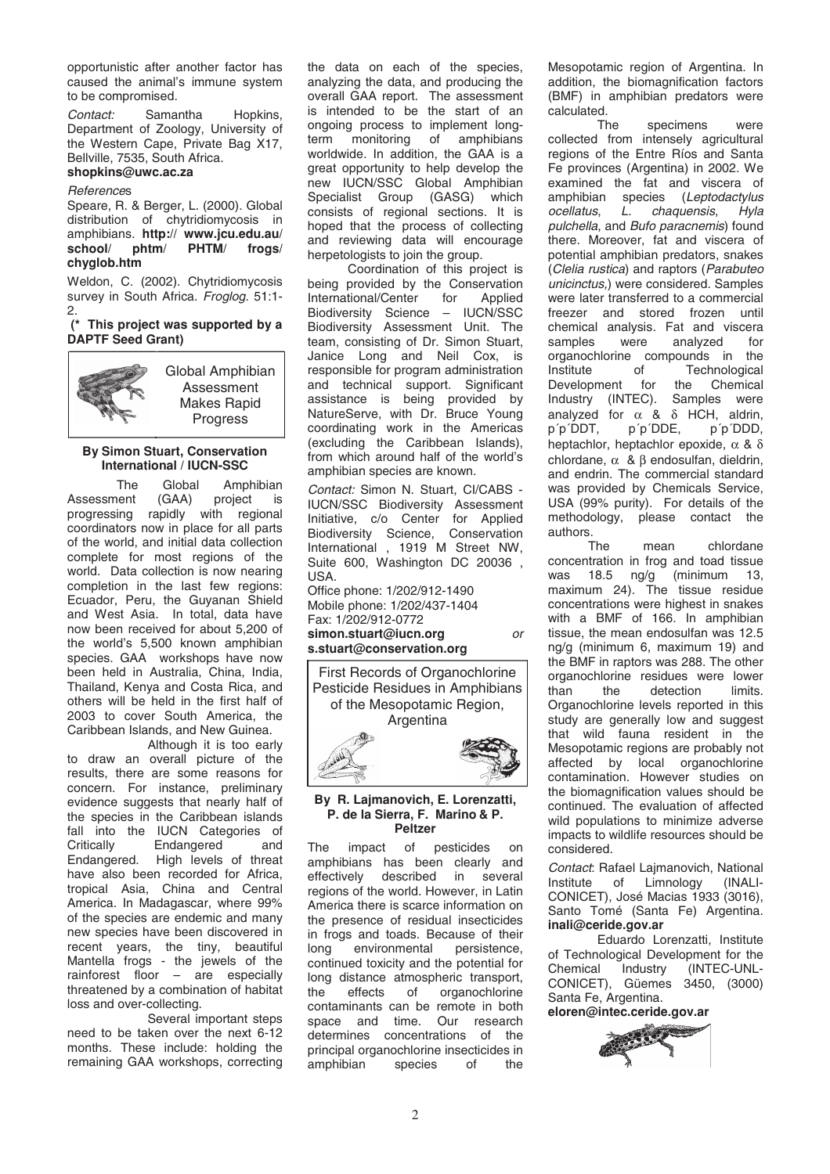opportunistic after another factor has caused the animal's immune system to be compromised.

Contact: Samantha Hopkins, Department of Zoology, University of the Western Cape, Private Bag X17, Bellville, 7535, South Africa. **shopkins@uwc.ac.za**

### **References**

Speare, R. & Berger, L. (2000). Global distribution of chytridiomycosis in amphibians. **http:// www.jcu.edu.au/ school/ phtm/ PHTM/ frogs/<br>chyglob.htm**<br>Welden C (2002) Chytridiomycosis

**chyglob.htm** Weldon, C. (2002). Chytridiomycosis survey in South Africa. Froglog. 51:1-2.

### **(\* This project was supported by a DAPTF Seed Grant)**

Global Amphibian Assessment Makes Rapid Progress

# **By Simon Stuart, Conservation**

**International / IUCN-SSC**<br>The Global Amp<br>sment (GAA) projec The Global Amphibian Assessment (GAA) project is progressing rapidly with regional coordinators now in place for all parts of the world, and initial data collection complete for most regions of the world. Data collection is now nearing completion in the last few regions: Ecuador, Peru, the Guyanan Shield and West Asia. In total, data have now been received for about 5,200 of the world's 5,500 known amphibian species. GAA workshops have now been held in Australia, China, India, Thailand, Kenya and Costa Rica, and others will be held in the first half of 2003 to cover South America, the Caribbean Islands, and New Guinea.

Although it is too early to draw an overall picture of the results, there are some reasons for concern. For instance, preliminary evidence suggests that nearly half of the species in the Caribbean islands fall into the IUCN Categories of<br>Critically Endangered and Endangered Endangered. High levels of threat have also been recorded for Africa, tropical Asia, China and Central America. In Madagascar, where 99% of the species are endemic and many new species have been discovered in recent years, the tiny, beautiful Mantella frogs - the jewels of the rainforest floor – are especially threatened by a combination of habitat loss and over-collecting.

Several important steps need to be taken over the next 6-12 months. These include: holding the remaining GAA workshops, correcting

the data on each of the species, analyzing the data, and producing the overall GAA report. The assessment is intended to be the start of an ongoing process to implement longterm monitoring of amphibians worldwide. In addition, the GAA is a great opportunity to help develop the new IUCN/SSC Global Amphibian Specialist Group (GASG) which consists of regional sections. It is hoped that the process of collecting and reviewing data will encourage herpetologists to join the group.

Coordination of this project is being provided by the Conservation<br>International/Center for Applied International/Center for Biodiversity Science – IUCN/SSC Biodiversity Assessment Unit. The team, consisting of Dr. Simon Stuart, Janice Long and Neil Cox, is responsible for program administration and technical support. Significant assistance is being provided by NatureServe, with Dr. Bruce Young coordinating work in the Americas (excluding the Caribbean Islands), from which around half of the world's amphibian species are known.

Contact: Simon N. Stuart, CI/CABS - IUCN/SSC Biodiversity Assessment Initiative, c/o Center for Applied Biodiversity Science, Conservation International , 1919 M Street NW, Suite 600, Washington DC 20036 ,  $IISA$ 

Office phone: 1/202/912-1490 Mobile phone: 1/202/437-1404 Fax: 1/202/912-0772<br>simon.stuart@iucn.org simon.stuart@iucn.org or<br>s.stuart@conservation.org

**s.stuart@conservation.org** First Records of Organochlorine Pesticide Residues in Amphibians of the Mesopotamic Region, **Argentina** 



**By R. Lajmanovich, E. Lorenzatti, P. de la Sierra, F. Marino & P.**

**Peltzer**<br>The impact of pesticides on<br>amphibians has been clearly and amphibians has been clearly and<br>effectively described in several effectively described in regions of the world. However, in Latin America there is scarce information on the presence of residual insecticides in frogs and toads. Because of their<br>long environmental persistence. long environmental continued toxicity and the potential for long distance atmospheric transport,<br>the effects of organochlorine the effects of organochlorine contaminants can be remote in both<br>space and time. Our research space and time. determines concentrations of the principal organochlorine insecticides in<br>amphibian species of the amphibian

Mesopotamic region of Argentina. In addition, the biomagnification factors (BMF) in amphibian predators were calculated.<br>The

specimens were collected from intensely agricultural regions of the Entre Ríos and Santa Fe provinces (Argentina) in 2002. We examined the fat and viscera of amphibian species (Leptodactylus<br>ocellatus. L. chaquensis. Hyla L. chaquensis, pulchella, and Bufo paracnemis) found there. Moreover, fat and viscera of potential amphibian predators, snakes (Clelia rustica) and raptors (Parabuteo unicinctus,) were considered. Samples were later transferred to a commercial freezer and stored frozen until chemical analysis. Fat and viscera<br>samples were analyzed for analyzed organochlorine compounds in the Institute of Technological<br>Development for the Chemical Development for the Chemical<br>Industry (INTEC). Samples were Industry (INTEC). analyzed for  $\alpha$  &  $\delta$  HCH, aldrin,<br>p'p'DDT, p'p'DDE, p'p'DDD, p'p'DDT, p'p'DDE, heptachlor, heptachlor epoxide,  $\alpha$  & δ chlordane, α & β endosulfan, dieldrin, and endrin. The commercial standard was provided by Chemicals Service, USA (99% purity). For details of the methodology, please contact the authors.

The mean chlordane concentration in frog and toad tissue was 18.5 ng/g (minimum 13, maximum 24). The tissue residue concentrations were highest in snakes with a BMF of 166. In amphibian tissue, the mean endosulfan was 12.5 ng/g (minimum 6, maximum 19) and the BMF in raptors was 288. The other organochlorine residues were lower<br>than the detection limits. the detection Organochlorine levels reported in this study are generally low and suggest that wild fauna resident in the Mesopotamic regions are probably not affected by local organochlorine contamination. However studies on the biomagnification values should be continued. The evaluation of affected wild populations to minimize adverse impacts to wildlife resources should be considered.

Contact: Rafael Lajmanovich, National<br>Institute of Limnology (INALI-Institute of Limnology CONICET), José Macias 1933 (3016), Santo Tomé (Santa Fe) Argentina.<br>inali@ceride.gov.ar

**inali@ceride.gov.ar** of Technological Development for the Eduardo Lorenzatti, Institute Chemical Industry (INTEC-UNL-CONICET), Güemes 3450, (3000) Santa Fe, Argentina.

**eloren@intec.ceride.gov.ar**

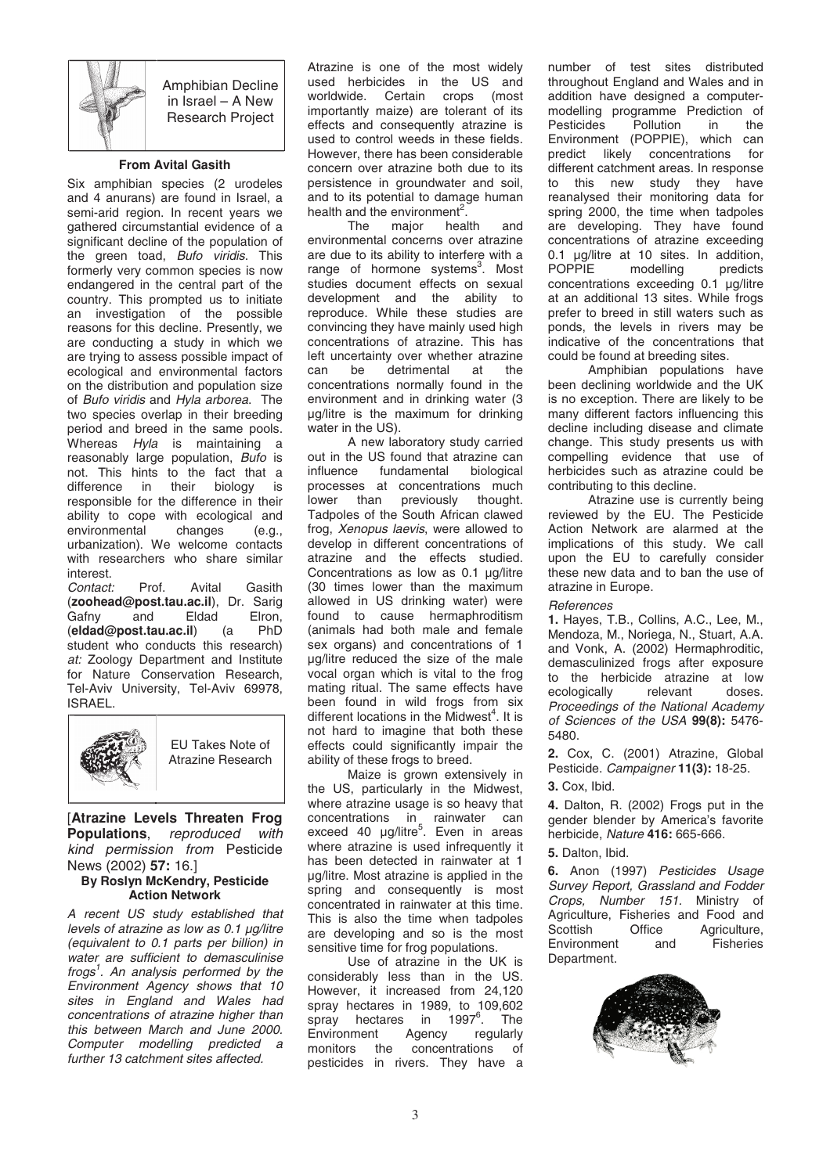

Amphibian Decline in Israel – A New Research Project

**From Avital Gasith**<br>
Six amphibian species (2 urodeles<br>
and 4 anurans) are found in Israel a and 4 anurans) are found in Israel, a semi-arid region. In recent years we gathered circumstantial evidence of a significant decline of the population of the green toad, Bufo viridis. This formerly very common species is now endangered in the central part of the country. This prompted us to initiate an investigation of the possible reasons for this decline. Presently, we are conducting a study in which we are trying to assess possible impact of ecological and environmental factors on the distribution and population size of Bufo viridis and Hyla arborea. The two species overlap in their breeding period and breed in the same pools. Whereas Hyla is maintaining a reasonably large population, Bufo is not. This hints to the fact that a<br>difference in their biology is in their biology is responsible for the difference in their ability to cope with ecological and<br>environmental changes (e.g., environmental urbanization). We welcome contacts with researchers who share similar

interest.<br>Contact: Contact: Prof. Avital Gasith (**zoohead@post.tau.ac.il**), Dr. Sarig Gafny and Eldad Elron,<br>(eldad@post.tau.ac.il) (a PhD (**eldad@post.tau.ac.il**) (a PhD student who conducts this research) at: Zoology Department and Institute for Nature Conservation Research, Tel-Aviv University, Tel-Aviv 69978, ISRAEL.



EU Takes Note of Atrazine Research

[**Atrazine Levels Threaten Frog Populations**, reproduced with<br>*kind permission from* Pesticide<br>News (2002) **57:** 16.] kind permission from Pesticide

## News (2002) **57:** 16.]<br>By Roslyn McKendry, P<br>Action Network **By Roslyn McKendry, Pesticide**

**Action Network**<br>A recent US study established that<br>levels of atrazine as low as 0.1 ug/litre levels of atrazine as low as 0.1 µg/litre (equivalent to 0.1 parts per billion) in water are sufficient to demasculinise frogs<sup>1</sup>. An analysis performed by the Environment Agency shows that 10 sites in England and Wales had concentrations of atrazine higher than this between March and June 2000. Computer modelling predicted a further 13 catchment sites affected.

Atrazine is one of the most widely used herbicides in the US and worldwide. Certain crops (most importantly maize) are tolerant of its effects and consequently atrazine is used to control weeds in these fields. However, there has been considerable concern over atrazine both due to its persistence in groundwater and soil, and to its potential to damage human health and the environment<sup>2</sup>.

The major health and environmental concerns over atrazine are due to its ability to interfere with a range of hormone systems<sup>3</sup>. Most studies document effects on sexual development and the ability to reproduce. While these studies are convincing they have mainly used high concentrations of atrazine. This has left uncertainty over whether atrazine can be detrimental at the concentrations normally found in the environment and in drinking water (3 µg/litre is the maximum for drinking water in the US).

A new laboratory study carried out in the US found that atrazine can<br>influence fundamental biological fundamental processes at concentrations much<br>lower than previously thought. lower than Tadpoles of the South African clawed frog, Xenopus laevis, were allowed to develop in different concentrations of atrazine and the effects studied. Concentrations as low as 0.1 µg/litre (30 times lower than the maximum allowed in US drinking water) were found to cause hermaphroditism (animals had both male and female sex organs) and concentrations of 1 µg/litre reduced the size of the male vocal organ which is vital to the frog mating ritual. The same effects have been found in wild frogs from six different locations in the Midwest<sup>4</sup>. It is not hard to imagine that both these effects could significantly impair the ability of these frogs to breed.

Maize is grown extensively in the US, particularly in the Midwest, where atrazine usage is so heavy that concentrations in rainwater can exceed 40 µg/litre<sup>5</sup>. Even in areas where atrazine is used infrequently it has been detected in rainwater at 1 µg/litre. Most atrazine is applied in the spring and consequently is most concentrated in rainwater at this time. This is also the time when tadpoles are developing and so is the most sensitive time for frog populations.

Use of atrazine in the UK is considerably less than in the US. However, it increased from 24,120 spray hectares in 1989, to 109,602 spray hectares in 1997 6 7<sup>º</sup>. The<br>regularly Environment Agency<br>monitors the concen concentrations of pesticides in rivers. They have a number of test sites distributed throughout England and Wales and in addition have designed a computermodelling programme Prediction of<br>Pesticides Pollution in the Pesticides Pollution in the Environment (POPPIE), which can predict likely concentrations for different catchment areas. In response to this new study they have reanalysed their monitoring data for spring 2000, the time when tadpoles are developing. They have found concentrations of atrazine exceeding 0.1 µg/litre at 10 sites. In addition,<br>POPPIE modelling predicts modelling concentrations exceeding 0.1 µg/litre at an additional 13 sites. While frogs prefer to breed in still waters such as ponds, the levels in rivers may be indicative of the concentrations that could be found at breeding sites.

Amphibian populations have been declining worldwide and the UK is no exception. There are likely to be many different factors influencing this decline including disease and climate change. This study presents us with compelling evidence that use of herbicides such as atrazine could be contributing to this decline.

Atrazine use is currently being reviewed by the EU. The Pesticide Action Network are alarmed at the implications of this study. We call upon the EU to carefully consider these new data and to ban the use of atrazine in Europe.

References<br>1. Hayes, T.B., Collins, A.C., Lee, M., **1.** Hayes, T.B., Collins, A.C., Lee, M.,<br>Mendoza, M., Noriega, N., Stuart, A.A.<br>and Vonk, A. (2002) Hermaphroditic. Mendoza, M., Noriega, N., Stuart, A.A. and Vonk, A. (2002) Hermaphroditic, demasculinized frogs after exposure to the herbicide atrazine at low<br>ecologically relevant doses. ecologically Proceedings of the National Academy of Sciences of the USA **99(8):** 5476- 5480.

**2.** Cox, C. (2001) Atrazine, Global<br>Pesticide. *Campaigner* **11(3):** 18-25.<br>3 Cox Ibid Pesticide. Campaigner **11(3):** 18-25.

**3.** Cox, Ibid.<br>**4.** Dalton. R. (2002) Frogs put in the **4.** Dalton, R. (2002) Frogs put in the<br>gender blender by America's favorite<br>herbicide, *Nature* **416:** 665-666. gender blender by America's favorite herbicide, Nature **416:** 665-666.

**5.** Dalton, Ibid.<br>**6.** Anon (1997) Pesticides Usage **6.** Anon (1997) *Pesticides Usage<br>Survey Report, Grassland and Fodder<br><i>Crops, Number 151.* Ministry of Survey Report, Grassland and Fodder Crops, Number 151. Ministry of Agriculture, Fisheries and Food and<br>Scottish Office Agriculture. e Agriculture,<br>and Fisheries Environment Department.